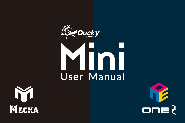



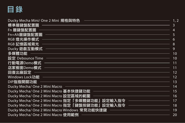

| Ducky Mecha Mini/ One 2 Mini 規格與特色             | 1, 2 |
|------------------------------------------------|------|
| 標準層鍵盤配置圖                                       |      |
| Fn 層鍵盤配置圖                                      |      |
| Fn+Alt層鍵盤配置圖                                   |      |
| RGB 燈光操作模式                                     | 6    |
| RGB記憶區域背光                                      | 8    |
| Ducky 遊戲互動模式                                   | q    |
| 多媒體功能                                          | 10   |
| 設定 Debounce Time                               | 10   |
| 行動電源Demo模式                                     | 11   |
| 店家櫥窗Demo模式                                     | 11   |
| 回復出廠設定                                         | 12   |
| Windows Lock功能                                 | 12   |
| DIP指撥開關功能                                      | 13   |
| Ducky Mecha/ One 2 Mini Macro                  | 14   |
| Ducky Mecha/ One 2 Mini Macro 基本快捷鍵功能          | 15   |
| Ducky Mecha/ One 2 Mini Macro 設定區域的範圍          | 16   |
| Ducky Mecha/ One 2 Mini Macro 指定「多媒體鍵功能」設定輸入指令 | 17   |
| Ducky Mecha/ One 2 Mini Macro 指定「鍵盤按鍵功能」設定輸入指令 | 18   |
| Ducky Mecha/ One 2 Mini Macro Windows 常見功能快捷鍵  | 19   |
| Ducky Mecha/ One 2 Mini Macro 使用範例             | 20   |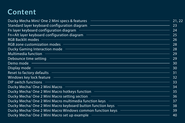# **Content**

| Standard layer keyboard configuration diagram ——————————————————————————————————                                                                                                                                                     | 23 |
|--------------------------------------------------------------------------------------------------------------------------------------------------------------------------------------------------------------------------------------|----|
|                                                                                                                                                                                                                                      | 24 |
| Fn+Alt layer keyboard configuration diagram                                                                                                                                                                                          | 25 |
|                                                                                                                                                                                                                                      | 26 |
|                                                                                                                                                                                                                                      | 28 |
| Ducky Gaming Interaction mode - The Commission of the Commission of the Commission of the Commission of the Co                                                                                                                       | 28 |
|                                                                                                                                                                                                                                      | 79 |
|                                                                                                                                                                                                                                      | 29 |
|                                                                                                                                                                                                                                      | 30 |
|                                                                                                                                                                                                                                      | 30 |
|                                                                                                                                                                                                                                      |    |
| Windows key lock feature <u>experience and the set of the set of the set of the set of the set of the set of the set of the set of the set of the set of the set of the set of the set of the set of the set of the set of the s</u> |    |
|                                                                                                                                                                                                                                      |    |
| Ducky Mecha/ One 2 Mini Macro – The Commission Control of the State of the State of the State of the State of                                                                                                                        |    |
|                                                                                                                                                                                                                                      |    |
| Ducky Mecha/ One 2 Mini Macro setting section - The Contract of the Contract of the Section of the Contract of                                                                                                                       |    |
|                                                                                                                                                                                                                                      |    |
|                                                                                                                                                                                                                                      |    |
| Ducky Mecha/One 2 Mini Macro Windows common function keys ––––––––––––––––––––––––––––39                                                                                                                                             |    |
|                                                                                                                                                                                                                                      | 40 |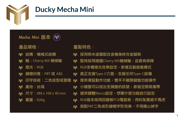

## **Ducky Mecha Mini**

Mecha Mini 版本 (



產品規格:

- 結構:機械式結構
- 軸:Cherry MX 機械軸
- 燈光:RGB M
- 鍵帽材質:PBT 或 ABS
- 印字技術:二色成型或雷雕
- 產地:台灣
- 尺寸:295 x 108 x 40 mm
- 重量:826g M

### 重點特色:

- M 採用奈米塗層鋁合金機身鋅合金腳架
- 堅持採用德國Cherry MX機械軸,品質有保障 M
- M RGB多種燈光效果設定,新增互動遊戲模式
- 真正支援Type-C介面,支援任何Type-C設備 M
	- 提供滑鼠動作功能,雙手不離開鍵盤也能操作
- 小鍵盤可以送出全鍵盤的訊號,節省空間易攜帶 M
- 提供硬體Macro設定,想要什麼功能自行設定 M
- RGB版本採用四層板PCB電路板,用料紮實絕不馬虎 M
- 搭配PBT二色成形鍵帽字形完美,不用擔心掉字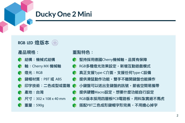## **Ducky One 2 Mini**

RGB LED 燈版本 (

### 產品規格:

- 結構:機械式結構
- 軸:Cherry MX 機械軸
- 燈光:RGB
- 鍵帽材質:PBT 或 ABS
- 印字技術:二色成型或雷雕
- 產地:台灣
- 尺寸:302 x 108 x 40 mm
- 重量:590g

重點特色:

- 堅持採用德國Cherry機械軸,品質有保障
- RGB多種燈光效果設定,新增互動遊戲模式
	- 真正支援Type-C介面,支援任何Type-C設備
	- 提供滑鼠動作功能,雙手不離開鍵盤也能操作
		- 小鍵盤可以送出全鍵盤的訊號,節省空間易攜帶
	- 提供硬體Macro設定,想要什麼功能自行設定
	- RGB版本採用四層板PCB雷路板,用料紮實絕不馬虎
- 搭配PBT二色成形鍵帽字形完美,不用擔心掉字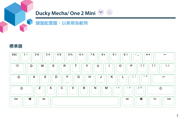

### 鍵盤配置圖,以美規為範例



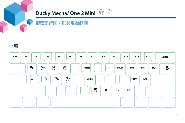

### 鍵盤配置圖,以美規為範例

### Fn層

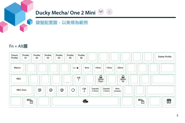

### 鍵盤配置圖,以美規為範例

### Fn + Alt層

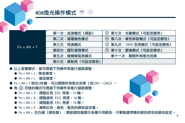|                | 第一次:波浪模式 (預設)   | 《③ 第七次:光量模式(可設定顏色)          |
|----------------|-----------------|-----------------------------|
|                | 第二次:循環變色模式      | <b>《 第八次:單色呼吸模式 (可設定顏色)</b> |
| $Fn + Alt + T$ | 第三次:雨滴模式        | ☆ 第九次:100% 全亮模式(可設定顏色)      |
|                | 第四次:圓形漣漪模式      | <b>② 第十次:雷達模式 (可設定顏色)</b>   |
|                | 第五次: 隨機單點亮模式    | 第十一次:關閉所有燈光效果               |
|                | 第六次:單點亮 (可設定顏色) |                             |

 $(\tilde{r})$ 

● 以上各種模式,皆可诱渦下列操作來谁行細節調整:

RGB燈光操作模式

- **◆ Fn + Alt + J: 降低速度。**
- ◆ Fn + Alt + L:增加速度。
- Fn + Alt + T 按住3秒鐘,可以關閉所有燈光效果(含CM1、CM2)。
- 有 83 符號的模式可透過下列操作來進行細節調整:
	- ◆ Fn + Alt + Z: 調整紅色 (R) 亮度, 10 階。
	- ◆ Fn + Alt + X: 調整綠色 (G) 亮度, 10 階。
	- ◆ Fn + Alt + C: 調整藍色 (B) 亮度, 10 階。
	- ◆ Fn + Alt + V:清除紅色、綠色、藍色的顏色設定值。
	- ◆ Fn + Alt + 空白鍵(調色盤):開啟調色盤顯示各種不同顏色,只要點選想要的顏色即完成顏色設定。 6

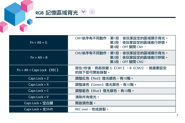

## RGB 記憶區域背光 ®

| $Fn + Alt + G$               | CM1依序有不同動作:第1段:依玩家設定的區域顯示背光。<br>第2段:依玩家設定的區域進行呼吸。<br>第3段:OFF 關閉 CM1。 |  |
|------------------------------|----------------------------------------------------------------------|--|
| $Fn + Alt + B$               | CM2依序有不同動作:第1段:依玩家設定的區域顯示背光。<br>第2段:依玩家設定的區域進行呼吸。<br>第3段:OFF 關閉 CM2。 |  |
| $Fn + Alt + Caps Lock$ (REC) | 按住3秒後,亮起按鍵 G (CM1) 、B (CM2) ,挑選要設定<br>的按下即可開始錄製。                     |  |
| Caps Lock $+Z$               | 調整紅色 (Red) 燈光顏色,有10階。                                                |  |
| Caps Lock $+X$               | 調整綠色 (Green) 燈光顏色,有10階。                                              |  |
| Caps Lock + $C$              | 調整藍色 (Blue) 燈光顏色,有10階。                                               |  |
| Caps Lock $+V$               | 清除所有燈光。                                                              |  |
| Caps Lock + 空白鍵              | 開啟調色盤。                                                               |  |
| Caps Lock $+$ $\pm$ Shift    | REC over,完成錄製。                                                       |  |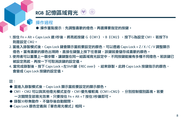

## RGB 記憶區域背光

### 操作過程

- 操作重點提示:先調整喜歡的燈色,再選擇要指定的按鍵。
- 1. 按住 Fn + Alt + Caps Lock 達3秒後,將亮起按鍵 G(CM1)、B(CM2),按下G為設定 CM1,若按下B 則是設定 CM2。
- 2. 當進入錄製模式後,Caps Lock 鍵會顯示當前要設定的顏色,可以透過 Caps Lock + Z / X / C / V 調整顯示 燈色。當有喜歡的顏色出現時,直接在鍵盤上按下任意鍵,該鍵就會儲存成喜歡的顏色。
- 3. 使用者可以重覆上一個步驟,讓鍵盤在同一組區域背光設定中,不同按鍵能擁有多種不同燈色。若該鍵已 被設定亮起,再按一下可取消該鍵的設定值。
- 4. 當完成錄製後,按下 Caps Lock +左Shift鍵 (REC over), 結束錄製。此時 Caps Lock 按鍵指示的顏色, 會變成 Caps Lock 按鍵的設定值。

#### 註:

- 當進入錄製模式後,Caps Lock 顯示當前要設定的顯示顏色。
- CM1、CM2 可以與其他燈光模式並存,CM1優先權較高 (CM1>CM2) ,分別控制個別區塊。若要 一次關閉全部背光效果,只要按住 Fn + Alt + T 按住3秒鐘即可。
- 錄製30秒無動作,不儲存後自動關閉。
- Caps Lock 顏色定義與「單色背光模式」相同。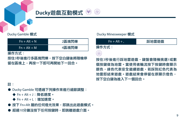

#### **Ducky**遊戲互動模式 ⊛  $(\tilde{r})$

| $Fn + Alt + N$          | 2區塊閃爍 |
|-------------------------|-------|
| $Fn + Alt + M$          | 4區塊閃爍 |
| 操作方式:                   |       |
| 按住3秒後進行多區塊閃爍,按下空白鍵後將隨機停 |       |

留在區塊上,再按一下即可再開始下一回合。

#### Ducky Gamble 模式 **Ducky Minesweeper 模式**

| $Fn + Alt + .$ | 踩地雷遊戲                   |  |
|----------------|-------------------------|--|
| 操作方式:          |                         |  |
| ⊛)             |                         |  |
|                | 按住3秒後進行踩地雷遊戲,鍵盤會隨機挑選1或數 |  |
|                | 佃也维州为地重。尚伟用李趁达也下也维咕命题子  |  |

個按鍵做為地雷。當使用者輪流按下按鍵時會顯示 顏色,綠色代表安全繼續遊戲,若踩到紅色代表為 地雷即結束遊戲。遊戲結束會停留在原顯示燈色, 按下空白鍵為進入下一個回合。

### 註:

- Ducky Gamble 可透過下列操作來進行細節調整:
	- ◆ Fn + Alt + J: 降低速度。
	- ◆ Fn + Alt + L:增加速度。
- 按下 Fn+Alt 層的任何燈光效果,即跳出此遊戲模式。
- 超過10分鐘沒按下仟何按鍵時,即跳離游戲介面。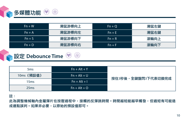

| $Fn + W$ | 滑鼠游標向上 | $Fn + O$ | 滑鼠左鍵 |
|----------|--------|----------|------|
| $Fn + A$ | 滑鼠游標向左 | $Fn + E$ | 滑鼠右鍵 |
| $Fn + S$ | 滑鼠游標向下 | $Fn + R$ | 滾輪向上 |
| $Fn + D$ | 滑鼠游標向右 | $Fn + F$ | 滾輪向下 |

設定 **Debounce Time** ௌ

| 5 <sub>ms</sub> | $Fn + Alt + Y$ |                    |
|-----------------|----------------|--------------------|
| 10ms (預設值)      | $Fn + Alt + U$ | 按住3秒後,全鍵盤閃3下代表切換完成 |
| 15ms            | $Fn + Alt + I$ |                    |
| 25ms            | $Fn + Alt + O$ |                    |

註:

此為調整機械軸內金屬彈片在按壓過程中,接觸的反彈跳時間。時間越短能越早觸發,但過短有可能造 成連點誤判。如果非必要,以原始的預設值即可。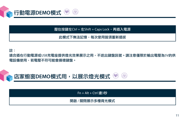

壓住按鍵左Ctrl + 左Shift + Caps Lock,再插入電源

此模式下無法記憶,每次使用皆須重新插拔

註:

適合插在行動電源或USB充電座提供燈光效果展示之用,不送出鍵盤訊號。請注意僅限於輸出電壓為5V的供 電設備使用,若電壓不符可能會損壞鍵盤。

店家櫥窗**DEMO**模式用,以展示燈光模式  $\sim$ ۶

 $Fn + Alt + CtrI$  達3秒

開啟 / 關閉展示多種背光模式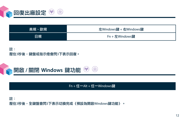

| 歐規<br>美規、 | 左Windows鍵 + 右Windows鍵 |
|-----------|-----------------------|
| 日規        | $Fn + \nmp$ Windows鍵  |

註: 壓住3秒後,鍵盤或指示燈會閃3下表示回復。



Fn + 任一Alt + 任一Windows鍵

註: 壓住3秒後,全鍵盤會閃3下表示切換完成(預設為開啟Windows鍵功能)。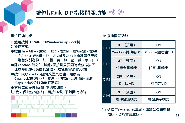

## 鍵位切換與 **DIP** 指撥開關功能

### 鍵位切換功能

- DIP1 DIP2 **1.** 適用按鍵**: Fn/Alt/Ctrl/Windows/Caps lock**鍵 **2.** 操作方式**:**
- ●按住**Fn + Alt + k**達**5**秒,**ESC**、左**Ctrl**、左**Win**鍵、左**Alt** 
	- 、右**Alt**、右**Win**鍵、**Fn**、右**Ctrl**及**Caps lock**鍵皆會亮起
	- ,燈色分別為粉、紅、橙、黃、綠、藍、靛、紫、白。
- ●除**Capslock**鍵之外**,** 其餘**7**個按鍵只要同時或依序按下 任意**2**顆**,** 即可交換其鍵位。**(**燈色也會跟著交換**)**
- **●按1下後Caps lock鍵將改變其功能,順序為 Caps lock(**白燈**) -> Fn(**靛燈**) ->** 左**Ctrl(**紅燈**)**依序循環。  **(Caps lock**會依據功能來亮燈**)**
- ●更改完成後按**Esc**鍵**1**下結束切換。 註**:** 尚未做鍵位切換前,可按**Esc**鍵**1**下離開此功能。



### DIP 指撥開關功能

| DIP <sub>1</sub> | OFF (預設)     | ON            |
|------------------|--------------|---------------|
|                  | Windows鍵功能ON | Windows鍵功能OFF |
| DIP <sub>2</sub> | OFF (預設)     | ON            |
|                  | 仟意全鍵輸出       | 任意6鍵輸出        |
| DIP <sub>3</sub> | OFF (預設)     | ON            |
|                  | Ducky VID    | 可自定VID        |
| DIP <sub>4</sub> | OFF (預設)     | ON            |
|                  | 標準鍵盤模式       | 櫥窗展示模式        |

註: 切換每1次DIP的On與Off,鍵盤就必須重新 插拔,功能才會生效。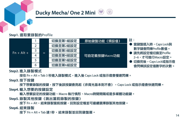#### **Step1.** 選取要錄製的Profile

|              |   |   | 切換至第1組設定 | 原始鍵盤功能 (預設值)  | 註:                                     |
|--------------|---|---|----------|---------------|----------------------------------------|
|              |   |   | 切換至第2組設定 |               | ▶ 當鍵盤插入時,Caps Lock與                    |
| $Fn + Alt +$ |   | - | 切換至第3組設定 |               | 數字鍵會閃爍Profile數值。<br>● 請先將設定檔切換至Profile |
|              |   | = | 切换至第4組設定 | 可自定義按鍵Macro功能 | 2~6,才可谁行Macro設定。                       |
|              |   |   | 切换至第5組設定 |               | ● 切換完後,Caps Lock或指示燈                   |
|              | 6 |   | 切换至第6組設定 |               | 會閃爍該設定值數字的次數。                          |

Step2. 進入錄製模式

按住 Fn + Alt + Tab 3 秒進入錄製模式,進入後 Caps Lock 或指示燈會慢速閃爍。

Step3. 按下按鍵

按下想要錄製的按鍵,按下後該按鍵會亮起(非背光版本則不會),Caps Lock 或指示燈會快速閃爍。

#### Step4. 輸入想要的按鍵設定

輸入想要設定的按鍵功能、Macro 執行情形、Macro時間間隔或是多媒體功能鍵。

Step5. 錄製其他按鍵(跳出當前錄製的按鍵)

按下 Fn + Alt,結束錄製當前按鍵,回到設定檔並可繼續選擇錄製其他按鍵。

#### Step6. 結束錄製

按下 Fn + Alt + Tab 達1秒,結束錄製並回到鍵盤層。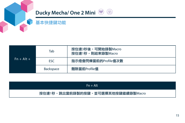



| $Fn + Alt +$ | Tab        | 按住達3秒後,可開始錄製Macro<br>按住達1秒,則結束錄製Macro |
|--------------|------------|---------------------------------------|
|              | <b>ESC</b> | 指示燈會閃爍當前的Profile值次數                   |
|              | Backspace  | 刪除當前Profile值                          |

| $Fn + Alt$                        |  |
|-----------------------------------|--|
| 按住達1秒,跳出當前錄製的按鍵,並可選擇其他按鍵繼續錄製Macro |  |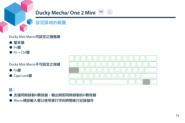

設定區域的範圍

### Ducky Mini Macro可設定之鍵盤層

- 基本層
- Fn層
- Fn + Ctrl層

Ducky Mini Macro不可設定之按鍵

- Fn鍵
- Caps Lock鍵



### 註:

- 支援同時錄製N顆按鍵,輸出時即同時錄製的N顆按鍵
- Macro預設輸入會以使用者打字的時間進行記錄儲存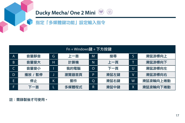

#### **Ducky Mecha/ One 2 Mini** $\circledast$

## 指定「多媒體鍵功能」設定輸入指令

| $Fn + Windows$ 鍵 + 下方按鍵 |         |    |       |          |      |              |          |
|-------------------------|---------|----|-------|----------|------|--------------|----------|
| A                       | 音量靜音    | G. | 上一首   | M        | 搜尋   | S            | 滑鼠游標向上   |
| B                       | 音量拳大    | н  | 計算機   | N        | 上一頁  |              | 滑鼠游標向下   |
|                         | 音量拳小    |    | 我的雷腦  | $\Omega$ | 下一百  | U            | 滑鼠游標向左   |
| D                       | 播放 / 暫停 |    | 瀏覽器首頁 | P        | 滑鼠左鍵 | $\mathsf{V}$ | 滑鼠游標向右   |
| E                       | 停止      | Κ  | 郵件    | $\circ$  | 滑鼠右鍵 | W            | 滑鼠滾輪向上捲動 |
|                         | 下一首     |    | 多媒體程式 | R        | 滑鼠中鍵 | Χ            | 滑鼠滾輪向下捲動 |

註:需錄製後才可使用。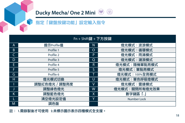

#### $\circledast$ **Ducky Mecha/ One 2 Mini**

## 指定「鍵盤按鍵功能」設定輸入指令

|   | $Fn + Shift # + T方按鍵$ |             |                    |  |  |  |  |
|---|-----------------------|-------------|--------------------|--|--|--|--|
| A | 提示Profile值            |             | 燈光模式:波浪模式          |  |  |  |  |
| B | Profile 1             | O           | 燈光模式:循環模式          |  |  |  |  |
|   | Profile 2             | P           | 燈光模式:雨滴模式          |  |  |  |  |
| D | Profile 3             | Q           | 燈光模式:漣漪模式          |  |  |  |  |
| E | Profile 4             | $\mathsf R$ | 燈光模式:隨機單點亮模式       |  |  |  |  |
| F | Profile 5             |             | 燈光模式:單點亮模式         |  |  |  |  |
| G | Profile 6             |             | 燈光模式: 100%全亮模式     |  |  |  |  |
| H | 燈光模式切換                |             | 燈光模式:單色呼吸燈模式       |  |  |  |  |
|   | 調整紅色燈光 / 調整亮度         |             | 燈光模式:雷達模式          |  |  |  |  |
|   | 調整綠色燈光                |             | 燈光模式:關閉所有燈光效果      |  |  |  |  |
| K | 調整藍色燈光                |             | 數字鍵區 「.」           |  |  |  |  |
|   | 清空燈光設定值               |             | <b>Number Lock</b> |  |  |  |  |
| M | 調色盤                   |             |                    |  |  |  |  |

註: 1.需錄製後才可使用 2.未標示圖示表示四種模式全支援。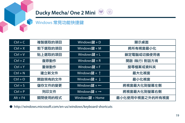

### Windows 常見功能快捷鍵

| $Ctrl + C$ | 複製選取的項目 | Windows鍵 + $D$           | 顯示桌面            |
|------------|---------|--------------------------|-----------------|
| $Ctrl + X$ | 剪下選取的項目 | Windows鍵 + M             | 將所有視窗最小化        |
| $Ctrl + V$ | 貼上選取的項目 | Windows鍵+L               | 鎖定電腦或切換使用者      |
| $Ctrl + Z$ | 復原動作    | Windows鍵 + R             | 開啟 [執行] 對話方塊    |
| $Ctrl + Y$ | 重做動作    | Windows鍵+F               | 搜尋檔案或資料夾        |
| $Ctrl + N$ | 建立新文件   | Windows鍵 + 1             | 最大化視窗           |
| $Ctrl + O$ | 開啟現有的文件 | Windows鍵 + $\downarrow$  | 最小化視窗           |
| $Ctrl + S$ | 儲存文件的變更 | Windows鍵 + $\leftarrow$  | 將視窗最大化到螢幕左側     |
| $Ctrl + P$ | 列印文件    | Windows鍵 + $\rightarrow$ | 將視窗最大化到螢幕右側     |
| $Alt + F4$ | 關閉使用的程式 | Windows鍵 + Home          | 最小化使用中視窗之外的所有視窗 |

● http://windows.microsoft.com/en-us/windows/keyboard-shortcuts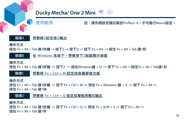

使用範例

註:請先將設定檔切換至Profile2~6,才可進行Macro設定。

### 情境A 想要將Z設定成Q輸出

操作方式:

按住 Fn + Alt + Tab 達3秒鐘 → 按下Z → 按下Q → 按下 Fn + Alt → 按住 Fn + Alt + Tab 達1秒

情境B 在 Windows 系統下,想要按下Z就能顯示桌面

操作方式:

按住 Fn + Alt + Tab 達3秒鐘 → 按下Z → 按住Windows鍵 + D → 按下 Fn + Alt →按住Fn + Alt + Tab達1秒

情境C 想要將 Fn + Ctrl + M 設定成音量靜音功能

操作方式:

按住 Fn + Alt + Tab 達3秒鐘 → 按下 Fn + Ctrl + M → 按住 Fn + Windows 鍵 + A → 按下 Fn + Alt → 按住 Fn + Alt + Tab 達1秒

### 情境D 想要將 Fn + Ctrl + Q 指定成單點亮模式輸出

操作方式:

按住 Fn + Alt + Tab 達3秒鐘 → 按下 Fn + Ctrl + Q → 按住 Fn + Shift + S → 按下 Fn + Alt → 按住 Fn + Alt + Tab 達1秒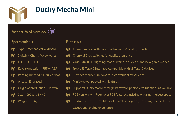

## **Ducky Mecha Mini**

### Mecha Mini version



### Specification :

- M Type: Mechanical keyboard
- Switch: Cherry MX switches m
- M LED: RGB LED
- Keycap material: PBT or ABS M
- M Printing method: Double-shot
- or Laser Engraved M
- Origin of production: Taiwan M
- Size:295 x 108 x 40 mm
- Weight: 826g

#### Features :

- M Aluminum case with nano-coating and Zinc alloy stands
- Cherry MX key switches for quality assurance M
- M Various RGB LED lighting modes which includes brand new game modes
- True USB Type-C interface, compatible with all Type-C devices M
- M Provides mouse functions for a convenient experience
- Miniature yet packed with features M
- Supports Ducky Macro through hardware, personalize functions as you like M
- M RGB version with Four-layer PCB featured, insisting on using the best specs
- Products with PBT Double-shot Seamless keycaps, providing the perfectly M exceptional typing experience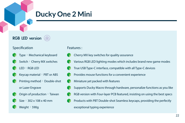## **Ducky One 2 Mini**

### RGB LED version @



### Specification



- Type: Mechanical keyboard
- Switch: Cherry MX switches
- LED:RGB LED
- Keycap material: PBT or ABS
- Printing method: Double-shot or Lazer Engrave



- Size:302 x 108 x 40 mm
- Weight: 590g

#### Features :

- Cherry MX key switches for quality assurance
- Various RGB LED lighting modes which includes brand new game modes
- True USB Type-C interface, compatible with all Type-C devices
- Provides mouse functions for a convenient experience
- Miniature yet packed with features
- Supports Ducky Macro through hardware, personalize functions as you like
- RGB version with Four-layer PCB featured, insisting on using the best specs
- Products with PBT Double-shot Seamless keycaps, providing the perfectly exceptional typing experience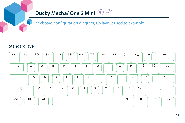

### Keyboard configuration diagram, US layout used as example

### Standard layer

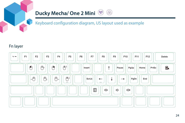

### Keyboard configuration diagram, US layout used as example

### Fn layer

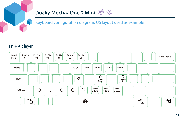

### Keyboard configuration diagram, US layout used as example

۳

### Fn + Alt layer

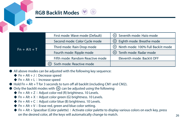

| $Fn + Alt + T$ | First mode: Wave mode (Default)  | <sup>2</sup> ે Seventh mode: Halo mode           |
|----------------|----------------------------------|--------------------------------------------------|
|                | Second mode: Color Cycle mode    | ै Eighth mode: Breathe mode                      |
|                | Third mode: Rain Drop mode       | $\,$ ( $\,$ ) Ninth mode: 100% Full Backlit mode |
|                | Fourth mode: Ripple mode         | <sup>5</sup> Tenth mode: Radar mode              |
|                | Fifth mode: Random Reactive mode | Eleventh mode: Backlit OFF                       |
|                | Sixth mode: Reactive mode        |                                                  |

- All above modes can be adjusted with the following key sequence:
	- $\blacklozenge$  Fn + Alt + J : Decrease speed
	- $\blacklozenge$  Fn + Alt + L : Increase speed
- $\bullet$  Hold Fn + Alt + T for 3 seconds to turn off all backlit (including CM1 and CM2).
- $\bullet$  Only the backlit modes with  $\{^{\circ}\}$  can be adjusted using the following:
	- $\blacklozenge$  Fn + Alt + Z: Adjust color red (R) brightness. 10 Levels.
	- $\blacklozenge$  Fn + Alt + X : Adjust color green (G) brightness. 10 Levels.
	- $\blacklozenge$  Fn + Alt + C: Adjust color blue (B) brightness. 10 Levels.
	- $\blacklozenge$  Fn + Alt + V : Erase red, green and blue color setting.
	- $\triangleq$  Fn + Alt + Spacebar (Color palette): Activate color palette to display various colors on each key, press on the desired color, all the keys will automatically change to match.  $26$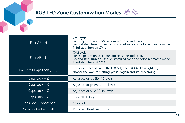

| $Fn + Alt + G$               | CM1 cycle:<br>First step: Turn on user's customized zone and color.<br>Second step: Turn on user's customized zone and color in breathe mode.<br>Third step: Turn off CM1.             |  |
|------------------------------|----------------------------------------------------------------------------------------------------------------------------------------------------------------------------------------|--|
| $Fn + Alt + B$               | CM <sub>2</sub> cycle:<br>First step: Turn on user's customized zone and color.<br>Second step: Turn on user's customized zone and color in breathe mode.<br>Third step: Turn off CM2. |  |
| $Fn + Alt + Caps Lock (REC)$ | Press for 3 seconds until the G (CM1) and B (CM2) keys light up,<br>choose the layer for setting, press it again and start recording.                                                  |  |
| Caps Lock $+Z$               | Adjust color red (R), 10 levels.                                                                                                                                                       |  |
| Caps Lock + $X$              | Adjust color green (G), 10 levels.                                                                                                                                                     |  |
| Caps Lock + $C$              | Adjust color blue (B), 10 levels.                                                                                                                                                      |  |
| Caps Lock $+V$               | Erase all LED light                                                                                                                                                                    |  |
| Caps Lock + Spacebar         | Color palette                                                                                                                                                                          |  |
| Caps Lock + Left Shift       | REC over, finish recording                                                                                                                                                             |  |

⊛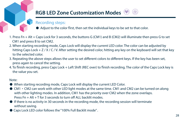## **RGB LED Zone Customization Modes**

### Recording steps:

- Adjust to the color first, then set the individual keys to be set to that color.
- 1. Press Fn + Alt + Caps Lock for 3 seconds, the buttons G (CM1) and B (CM2) will illuminate then press G to set CM1 and press B to set CM2.
- 2. When starting recording mode, Caps Lock will display the current LED color. The color can be adjusted by hitting Caps Lock + Z / X / C / V. After setting the desired color, hitting any key on the keyboard will set that key to the selected color.
- 3. Repeating the above steps allows the user to set different colors to different keys. If the key has been set, press again to cancel the setting.
- 4. To finish recording, press Caps Lock + Left Shift (REC over) to finish recording. The color of the Caps Lock key is the value you set.

#### Note:

- When starting recording mode, Caps Lock will display the current LED Color.
- CM1 ⋅ CM2 can work with other LED light modes at the same time. CM1 and CM2 can be turned on along with other lighting modes. In addition, CM1 has the priority over CM2 when the zone overlaps. Press  $Fn + Alt + T$  for 3 seconds to turn off ALL backlit modes.
- If there is no activity in 30 seconds in the recording mode, the recording session will terminate without saving.
- Caps Lock LED color follows the "100% Full Backlit mode".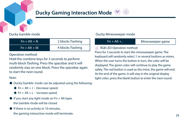## **Ducky Gaming Interaction Mode**

Ducky Gamble mode

| $Fn + Alt + N$ | 2 blocks flashing |
|----------------|-------------------|
| $Fn + Alt + M$ | 4 blocks flashing |

Operation method:

Hold the combine keys for 3 seconds to perform multi-block flashing. Press the spacebar and it will randomly stay on one block. Press the spacebar again to start the next round.

#### Note:

- Ducky Gamble mode can be adjusted using the following:
	- $\blacklozenge$  Fn + Alt + J : Decrease speed.
	- $\blacklozenge$  Fn + Alt + L : Increase speed.
- $\bullet$  If you start any light mode on Fn + Alt layer, the Gamble mode will be closed.
- If there is no activity in 10 minutes, the gaming interaction mode will terminate. 29

#### Ducky Minesweeper mode

| $Fn + Alt + .$                                                 | Minesweeper game |  |  |  |
|----------------------------------------------------------------|------------------|--|--|--|
| RGB LED Operation method:                                      |                  |  |  |  |
| Press for 3 seconds to start the minesweeper game. The         |                  |  |  |  |
| keyboard will randomly select 1 or several buttons as mines.   |                  |  |  |  |
| When the user turns the button in turn, the color will be      |                  |  |  |  |
| displayed. The green color will continue to play the game      |                  |  |  |  |
| safely. The red button is used as the mine, the game will end. |                  |  |  |  |
| At the end of the game, it will stay in the original display   |                  |  |  |  |
| light color: press the blank button to enter the next round.   |                  |  |  |  |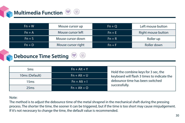## **Multimedia Function**

| $Fn + W$ | Mouse cursor up    | $Fn + O$ | Left mouse button  |
|----------|--------------------|----------|--------------------|
| $Fn + A$ | Mouse cursor left  | $Fn + E$ | Right mouse button |
| $Fn + S$ | Mouse cursor down  | $Fn + R$ | Roller up          |
| $Fn + D$ | Mouse cursor right | $Fn + F$ | Roller down        |

## **Debounce Time Setting**



#### Note:

The method is to adjust the debounce time of the metal shrapnel in the mechanical shaft during the pressing process. The shorter the time, the sooner it can be triggered, but if the time is too short may cause misjudgement. If it's not necessary to change the time, the default value is recommended.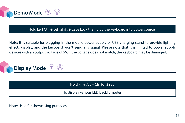

#### Hold Left Ctrl + Left Shift + Caps Lock then plug the keyboard into power source

Note: It is suitable for plugging in the mobile power supply or USB charging stand to provide lighting effects display, and the keyboard won't send any signal. Please note that it is limited to power supply devices with an output voltage of 5V. If the voltage does not match, the keyboard may be damaged.



Hold  $Fn + Alt + Crit$  for 3 sec

To display various LED backlit modes

Note: Used for showcasing purposes.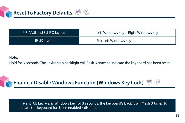

| US ANSI and EU ISO layout | Left Windows key + Right Windows key |
|---------------------------|--------------------------------------|
| JP JIS layout             | Fn+ Left Windows key                 |

Note:

Hold for 3 seconds. The keyboard's backlight will flash 3 times to indicate the keyboard has been reset.



Fn + any Alt key + any Windows key for 3 seconds, the keyboard's backlit will flash 3 times to indicate the keyboard has been enabled / disabled.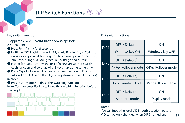## **DIP Switch Functions**

key switch Function **Exercise Exercise Serverse COVIDIP** switch fuctions

- 1. Applicable keys: Fn/Alt/Ctrl/Windows/Caps lock
- 2. Operation:
- **Pross**  $Fn + \Delta H + k$  **for 5 seconds.**
- Until the ESC, L\_Ctrl, L\_Win, L\_Alt, R\_Alt, R\_Win, Fn, R\_Ctrl, and Caps lock keys are all lighting up. The colorways are respectively pink, red, orange, yellow, green, blue, indigo and purple.
- Except for Caps lock key, the rest of 6 keys are able to switch each function and color at will. (2 keys max at the same time)
- Press Caps lock once will change its own function to Fn ( turns into indigo LED color) then L\_Ctrl key (turns into red LED color) in order.

● Press Esc key once to finish the switching function. Note: You can press Esc key to leave the switching function before starting it.



| DIP <sub>1</sub> | OFF (Default)         | ON                  |  |
|------------------|-----------------------|---------------------|--|
|                  | Windows key ON        | Windows key OFF     |  |
| DIP <sub>2</sub> | OFF (Default)         | ON                  |  |
|                  | N-Key Rollover mode   | 6-Key Rollover mode |  |
| DIP <sub>3</sub> | OFF (Default)         | ON                  |  |
|                  | Ducky Vender ID (VID) | Vender ID definable |  |
| DIP4             | OFF (Default)         | ON                  |  |
|                  | Standard mode         | Display mode        |  |

#### Note :

You can input the ideal VID in both situation, butthe VID can be only changed when DIP 3 turned on.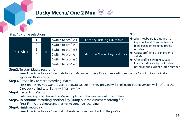#### **Step 1.** Profile selections

|              |                |  | Switch to profile 1 | Factory settings (Default)   |
|--------------|----------------|--|---------------------|------------------------------|
|              |                |  | Switch to profile 2 |                              |
| $Fn + Alt +$ | $\overline{a}$ |  | Switch to profile 3 |                              |
|              | 4              |  | Switch to profile 4 | Customize Macro key features |
|              |                |  | Switch to profile 5 |                              |
|              | 6              |  | Switch to profile 6 |                              |

#### Note:

- When keyboard is plugged in, Caps Lock and Number Keys will blink based on selected profile number.
- Adjust profile to 2~6 in order to set Macro.
- After profile is switched, Caps Lock or Indicator light will blink based on the current profile number.

#### **Step2.** To start Macro recording

 Press Fn + Alt + Tab for 3 seconds to start Macro recording. Once in recording mode the Caps Lock or indicator lights will flash slowly.

#### **Step3.** Press a key to start recording Macro

 Press on the key you want to use to activate Macro. The key pressed will blink (Non-backlit version will not) and the Caps Lock or indicator lights will flash swiftly.

#### **Step4.** Recording Macro

Enter any key, and choose the Macro implementation and record time option.

**Step5.** To continue recording another key (Jump out the current recording file) Press Fn + Alt to choose another key to continue recording.

#### **Step6.** Finish recording

Press Fn + Alt + Tab for 1 second to finish recording and back to the profile.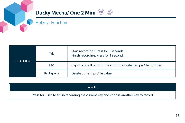

### Hotkeys Function

| $Fn + Alt +$ | Tab        | Start recording : Press for 3 seconds.<br>Finish recording: Press for 1 second. |  |
|--------------|------------|---------------------------------------------------------------------------------|--|
|              | <b>ESC</b> | Caps Lock will blink in the amount of selected profile number.                  |  |
|              | Backspace  | Delete current profile value.                                                   |  |

| $Fn + Alt$                                                                            |  |
|---------------------------------------------------------------------------------------|--|
| Press for 1 sec to finish recording the current key and choose another key to record. |  |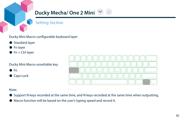

Setting Section

Ducky Mini Macro configurable keyboard layer

- Standard layer
- Fn layer
- $\bullet$  Fn + Ctrl layer

Ducky Mini Macro unsettable key

- $\n **F**n\n$
- Caps Lock



⊛

Note:

- Support N keys recorded at the same time, and N keys recorded at the same time when outputting.
- Macro function will be based on the user's typing speed and record it.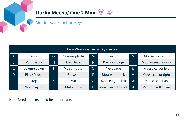

## Multimedia Function Keys

| $Fn + Windows key + Keys below$ |               |    |                   |          |                    |        |                    |
|---------------------------------|---------------|----|-------------------|----------|--------------------|--------|--------------------|
| A.                              | Mute          | G  | Previous playlist | M        | Search             | S      | Mouse cursor up    |
| B.                              | Volume up     | Ή  | Calculator        | N        | Previous page      |        | Mouse cursor down  |
| $\mathsf{C}$                    | Volume down   |    | My computer       | $\Omega$ | Next page          | U      | Mouse cursor left  |
| D.                              | Play / Pause  |    | <b>Browser</b>    | P        | Mouse left click   | $\vee$ | Mouse cursor right |
| ΙE.                             | Stop          | K. | Mail              | $\circ$  | Mouse right click  | W      | Mouse scroll up    |
| F.                              | Next playlist |    | Multimedia        | R        | Mouse middle click | X      | Mouse scroll down  |

Note: Need to be recorded first before use.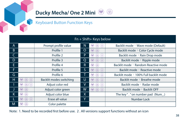

#### $\circledast$ **Ducky Mecha/ One 2 Mini**

### Keyboard Button Function Keys

| $Fn + Shift + Keys below$ |                                  |                         |    |                 |                                      |  |
|---------------------------|----------------------------------|-------------------------|----|-----------------|--------------------------------------|--|
| A                         |                                  | Prompt profile value    |    | ⊛<br>⋒<br>m)    | Backlit mode: Wave mode (Default)    |  |
| <sub>B</sub>              |                                  | Profile 1               | O  | - ⊛<br>(M)      | Backlit mode: Color Cycle mode       |  |
|                           |                                  | Profile 2               | P. | ◉<br>⋒<br>(M)   | Backlit mode: Rain Drop mode         |  |
| D                         |                                  | Profile 3               | Q  | ⊛<br>(⊕)<br>(M) | Backlit mode: Ripple mode            |  |
| E.                        |                                  | Profile 4               | R  | (M) (B)         | Backlit mode: Random Reactive mode   |  |
| F                         |                                  | Profile 5               | S. | ◉<br>(4)<br>(m) | Backlit mode: Reactive mode          |  |
| G                         |                                  | Profile 6               |    | ⊛<br>⋒<br>(M)   | Backlit mode: 100% Full backlit mode |  |
| H                         | ⊛<br>(8)<br>(m)                  | Backlit modes switching | U  | ۵<br>⋒<br>(W)   | Backlit mode: Breathe mode           |  |
|                           | (®)(Q<br>(M)                     | Adjust color red        | v  | ۵<br>⊛<br>(M)   | Backlit mode: Radar mode             |  |
|                           | ⊛<br>$(\mathbf{h}^{\mathbf{r}})$ | Adjust color green      | W  | M ® A           | Backlit mode: Backlit OFF            |  |
| κ                         | $^{\circledR}$<br>(M)            | Adjust color blue       | X  |                 | The key". "on number pad (Num.)      |  |
|                           | ⊛<br>(刷<br>(m)                   | Erase all value         | Y  |                 | <b>Number Lock</b>                   |  |
| M                         | ⊛)<br>(M)                        | Color palette           |    |                 |                                      |  |

Note: 1. Need to be recorded first before use. 2 . All versions support functions without an icon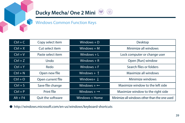

### Windows Common Function Keys

| $Ctrl + C$ | Copy select item  | $Windows + D$           | Desktop                                      |  |
|------------|-------------------|-------------------------|----------------------------------------------|--|
| $Ctrl + X$ | Cut select item   | Windows $+ M$           | Minimize all windows                         |  |
| $Ctrl + V$ | Paste select item | Windows $+L$            | Lock computer or change user                 |  |
| $Ctrl + Z$ | Undo              | Windows $+ R$           | Open [Run] window                            |  |
| $Ctrl + Y$ | Redo              | Windows $+$ F           | Search files or folders                      |  |
| $Ctrl + N$ | Open new file     | Windows $+$ 1           | Maximize all windows                         |  |
| $Ctrl + O$ | Open current file | Windows+ $\downarrow$   | Minimize windows                             |  |
| $Ctrl + S$ | Save file change  | Windows $+ \leftarrow$  | Maximize window to the left side             |  |
| $Ctrl + P$ | Print file        | Windows $+ \rightarrow$ | Maximize window to the right side            |  |
| $Alt + F4$ | Ouit the software | Windows + Home          | Minimize all windows other than the one used |  |

● http://windows.microsoft.com/en-us/windows/keyboard-shortcuts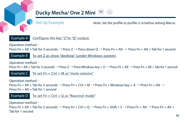

Set Up Example

Note: Set the profile to profile 2~6 before setting Macro.



Configure the key "Z"to "Q" output.

Operation method:

Press Fn + Alt + Tab for 3 seconds → Press Z → Press down Q → Press Fn + Alt → Press Fn + Alt + Tab for 1 second

Example B To set Z as show "desktop" (under Windows system)

Operation method:

Press Fn + Alt + Tab for 3 seconds  $\to$  Press Z  $\to$  Press Windows key + D  $\to$  Press Fn + Alt  $\to$  Press Fn + Alt + Tab for 1 second

Example C To set Fn + Ctrl + M as "mute volume"

Operation method: Press Fn + Alt + Tab for 3 seconds  $\to$  Press Fn + Ctrl + M  $\to$  Press Fn + Windows key + A  $\to$  Press Fn + Alt  $\to$  $\frac{1}{2}$ Press Fn + Alt + Tab for 1 second

Example D To set Fn + Ctrl + Q as "Reactive mode"

Operation method: Press Fn + Alt + Tab for 3 seconds  $\rightarrow$  Press Fn + Ctrl + Q  $\rightarrow$  Press Fn + Shift + S  $\rightarrow$  Press Fn + Alt  $\rightarrow$  Press Fn + Alt + Tab for 1 second